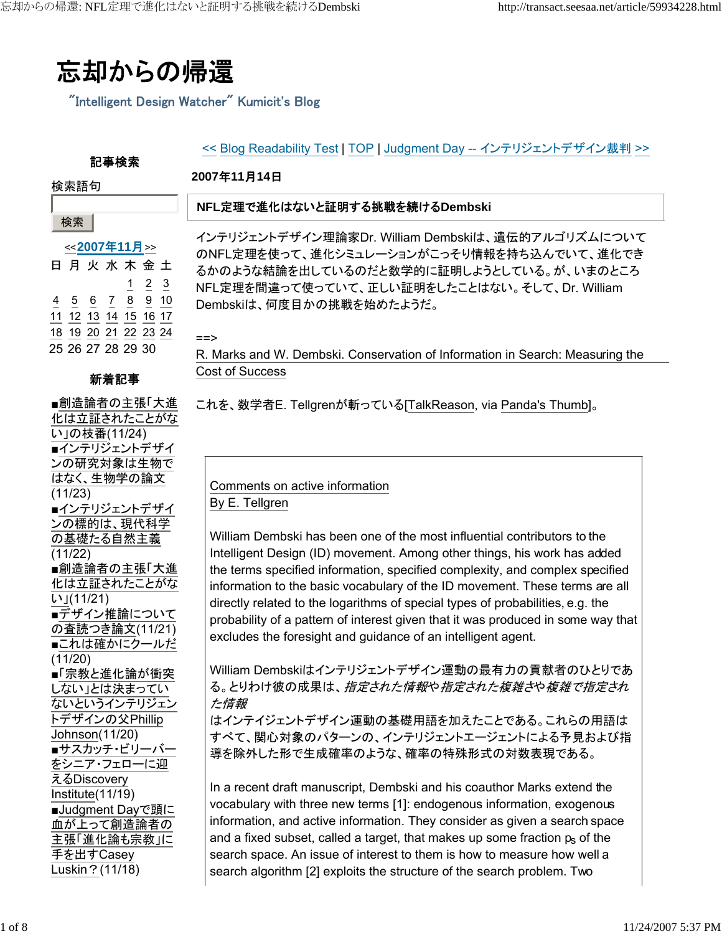忘却からの帰還

"Intelligent Design Watcher" Kumicit's Blog

#### << Blog Readability Test | TOP | Judgment Day -- インテリジェントデザイン裁判 >>

#### **2007**年**11**月**14**日

#### 検索語句

検索

#### **NFL**定理で進化はないと証明する挑戦を続ける**Dembski**

インテリジェントデザイン理論家Dr. William Dembskiは、遺伝的アルゴリズムについて のNFL定理を使って、進化シミュレーションがこっそり情報を持ち込んでいて、進化でき るかのような結論を出しているのだと数学的に証明しようとしている。が、いまのところ NFL定理を間違って使っていて、正しい証明をしたことはない。そして、Dr. William Dembskiは、何度目かの挑戦を始めたようだ。

==>

R. Marks and W. Dembski. Conservation of Information in Search: Measuring the Cost of Success

これを、数学者E. Tellgrenが斬っている[TalkReason, via Panda's Thumb]。

# Comments on active information By E. Tellgren

William Dembski has been one of the most influential contributors to the Intelligent Design (ID) movement. Among other things, his work has added the terms specified information, specified complexity, and complex specified information to the basic vocabulary of the ID movement. These terms are all directly related to the logarithms of special types of probabilities, e.g. the probability of a pattern of interest given that it was produced in some way that excludes the foresight and guidance of an intelligent agent.

William Dembskiはインテリジェントデザイン運動の最有力の貢献者のひとりであ る。とりわけ彼の成果は、*指定された情報や指定された複雑さ*や*複雑で指定され* た情報

はインテイジェントデザイン運動の基礎用語を加えたことである。これらの用語は すべて、関心対象のパターンの、インテリジェントエージェントによる予見および指 導を除外した形で生成確率のような、確率の特殊形式の対数表現である。

In a recent draft manuscript, Dembski and his coauthor Marks extend the vocabulary with three new terms [1]: endogenous information, exogenous information, and active information. They consider as given a search space and a fixed subset, called a target, that makes up some fraction  $p<sub>s</sub>$  of the search space. An issue of interest to them is how to measure how well a search algorithm [2] exploits the structure of the search problem. Two

#### <<**2007**年**11**月>> 日月火水木金土 1 2 3 4 5 6 7 8 9 10 11 12 13 14 15 16 17 18 19 20 21 22 23 24 25 26 27 28 29 30

記事検索

# 新着記事

■創造論者の主張「大進 化は立証されたことがな い」の枝番(11/24) ■インテリジェントデザイ ンの研究対象は生物で はなく、生物学の論文 (11/23) ■インテリジェントデザイ ンの標的は、現代科学 の基礎たる自然主義 (11/22) ■創造論者の主張「大進 化は立証されたことがな い」(11/21) ■デザイン推論について の査読つき論文(11/21) ■これは確かにクールだ (11/20) ■「宗教と進化論が衝突 しない」とは決まってい ないというインテリジェン トデザインの父Phillip Johnson(11/20) ■サスカッチ・ビリーバー をシニア・フェローに迎 えるDiscovery Institute(11/19) ■Judgment Dayで頭に 血が上って創造論者の 主張「進化論も宗教」に 手を出すCasey Luskin?(11/18)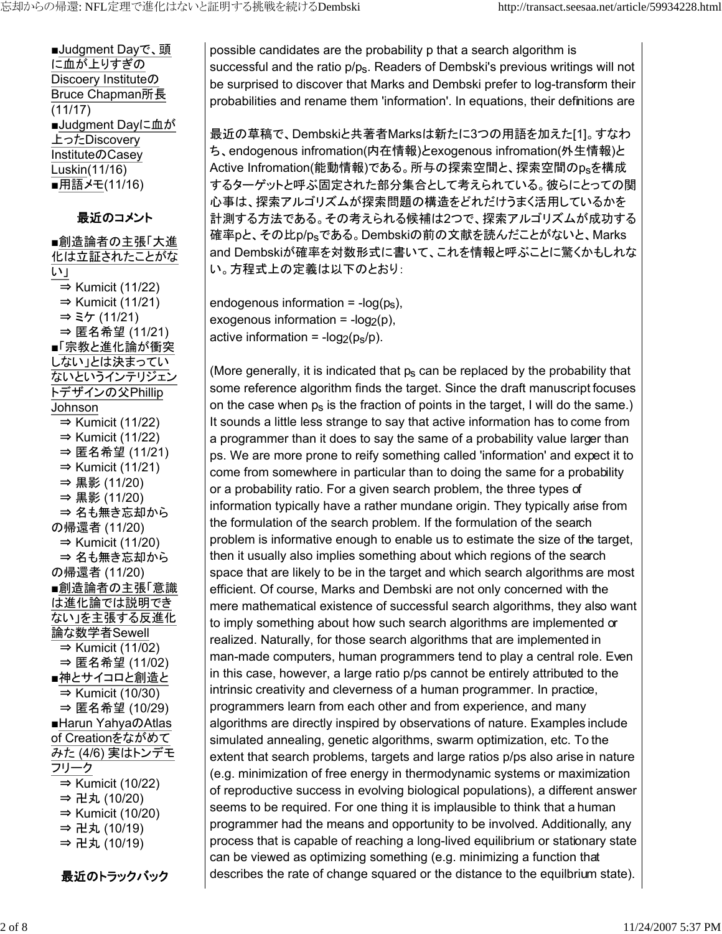■Judgment Dayで、頭 に血が上りすぎの Discoery Instituteの Bruce Chapman所長 (11/17) ■Judgment Dayに血が 上ったDiscovery InstituteのCasey Luskin(11/16) ■用語メモ(11/16)

最近のコメント

■創造論者の主張「大進 化は立証されたことがな い」 ⇒ Kumicit (11/22)  $\Rightarrow$  Kumicit (11/21) ⇒ ミケ (11/21) ⇒ 匿名希望 (11/21) ■「宗教と進化論が衝突 しない」とは決まってい ないというインテリジェン トデザインの父Phillip Johnson  $\Rightarrow$  Kumicit (11/22)  $\Rightarrow$  Kumicit (11/22) ⇒ 匿名希望 (11/21)  $\Rightarrow$  Kumicit (11/21) ⇒ 黒影 (11/20) ⇒ 黒影 (11/20) ⇒ 名も無き忘却から の帰還者 (11/20)  $\Rightarrow$  Kumicit (11/20) ⇒ 名も無き忘却から の帰還者 (11/20) ■創造論者の主張「意識」 は進化論では説明でき ない」を主張する反進化 論な数学者Sewell ⇒ Kumicit (11/02) ⇒ 匿名希望 (11/02) ■神とサイコロと創造と ⇒ Kumicit (10/30) ⇒ 匿名希望 (10/29) ■Harun YahyaのAtlas of Creationをながめて みた (4/6) 実はトンデモ フリーク ⇒ Kumicit (10/22) ⇒ 卍丸 (10/20)  $\Rightarrow$  Kumicit (10/20) ⇒ 卍丸 (10/19) ⇒ 卍丸 (10/19)

最近のトラックバック

possible candidates are the probability p that a search algorithm is successful and the ratio p/p<sub>s</sub>. Readers of Dembski's previous writings will not be surprised to discover that Marks and Dembski prefer to log-transform their probabilities and rename them 'information'. In equations, their definitions are

最近の草稿で、Dembskiと共著者Marksは新たに3つの用語を加えた[1]。すなわ ち、endogenous infromation(内在情報)とexogenous infromation(外生情報)と Active Infromation(能動情報)である。所与の探索空間と、探索空間のpsを構成 するターゲットと呼ぶ固定された部分集合として考えられている。彼らにとっての関 心事は、探索アルゴリズムが探索問題の構造をどれだけうまく活用しているかを 計測する方法である。その考えられる候補は2つで、探索アルゴリズムが成功する 確率pと、その比p/psである。Dembskiの前の文献を読んだことがないと、Marks and Dembskiが確率を対数形式に書いて、これを情報と呼ぶことに驚くかもしれな い。方程式上の定義は以下のとおり:

endogenous information =  $-log(p_s)$ , exogenous information =  $-log_2(p)$ , active information =  $-log_2(p_s/p)$ .

(More generally, it is indicated that  $p<sub>s</sub>$  can be replaced by the probability that some reference algorithm finds the target. Since the draft manuscript focuses on the case when  $p_s$  is the fraction of points in the target, I will do the same.) It sounds a little less strange to say that active information has to come from a programmer than it does to say the same of a probability value larger than ps. We are more prone to reify something called 'information' and expect it to come from somewhere in particular than to doing the same for a probability or a probability ratio. For a given search problem, the three types of information typically have a rather mundane origin. They typically arise from the formulation of the search problem. If the formulation of the search problem is informative enough to enable us to estimate the size of the target, then it usually also implies something about which regions of the search space that are likely to be in the target and which search algorithms are most efficient. Of course, Marks and Dembski are not only concerned with the mere mathematical existence of successful search algorithms, they also want to imply something about how such search algorithms are implemented or realized. Naturally, for those search algorithms that are implemented in man-made computers, human programmers tend to play a central role. Even in this case, however, a large ratio p/ps cannot be entirely attributed to the intrinsic creativity and cleverness of a human programmer. In practice, programmers learn from each other and from experience, and many algorithms are directly inspired by observations of nature. Examples include simulated annealing, genetic algorithms, swarm optimization, etc. To the extent that search problems, targets and large ratios p/ps also arise in nature (e.g. minimization of free energy in thermodynamic systems or maximization of reproductive success in evolving biological populations), a different answer seems to be required. For one thing it is implausible to think that a human programmer had the means and opportunity to be involved. Additionally, any process that is capable of reaching a long-lived equilibrium or stationary state can be viewed as optimizing something (e.g. minimizing a function that describes the rate of change squared or the distance to the equilbrium state).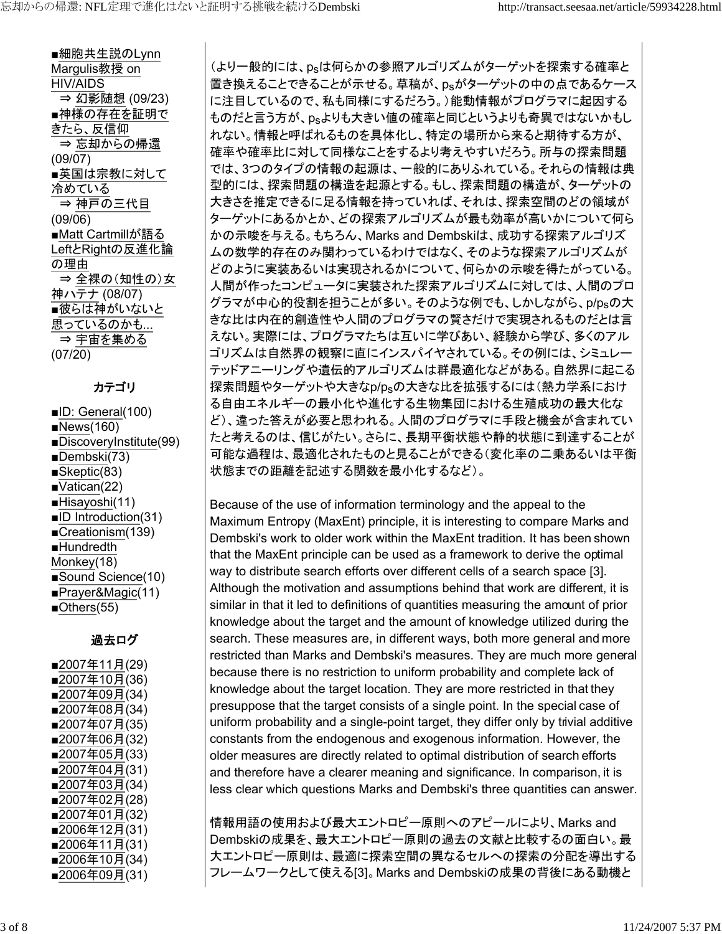■細胞共生説のLynn Margulis教授 on HIV/AIDS ⇒ 幻影随想 (09/23) ■神様の存在を証明で きたら、反信仰 ⇒ 忘却からの帰還 (09/07) ■英国は宗教に対して 冷めている ⇒ 神戸の三代目 (09/06) ■Matt Cartmillが語る LeftとRightの反進化論 の理由 ⇒ 全裸の(知性の)女 神ハテナ (08/07) ■彼らは神がいないと 思っているのかも... ⇒ 宇宙を集める (07/20)

## カテゴリ

■ID: General(100) ■News(160) ■DiscoveryInstitute(99) ■Dembski(73) ■Skeptic(83) ■Vatican(22) ■Hisayoshi(11) ■ID Introduction(31) ■Creationism(139) ■Hundredth Monkey(18) ■Sound Science(10) ■Prayer&Magic(11) ■Others(55)

# 過去ログ

■2007年11月(29) ■2007年10月(36) ■2007年09月(34) ■2007年08月(34) ■2007年07月(35) ■2007年06月(32) ■2007年05月(33) ■2007年04月(31) ■2007年03月(34) ■2007年02月(28) ■2007年01月(32) ■2006年12月(31) ■2006年11月(31) ■2006年10月(34) ■2006年09月(31)

(より一般的には、psは何らかの参照アルゴリズムがターゲットを探索する確率と 置き換えることできることが示せる。草稿が、psがターゲットの中の点であるケース に注目しているので、私も同様にするだろう。)能動情報がプログラマに起因する ものだと言う方が、psよりも大きい値の確率と同じというよりも奇異ではないかもし れない。情報と呼ばれるものを具体化し、特定の場所から来ると期待する方が、 確率や確率比に対して同様なことをするより考えやすいだろう。所与の探索問題 では、3つのタイプの情報の起源は、一般的にありふれている。それらの情報は典 型的には、探索問題の構造を起源とする。もし、探索問題の構造が、ターゲットの 大きさを推定できるに足る情報を持っていれば、それは、探索空間のどの領域が ターゲットにあるかとか、どの探索アルゴリズムが最も効率が高いかについて何ら かの示唆を与える。もちろん、Marks and Dembskiは、成功する探索アルゴリズ ムの数学的存在のみ関わっているわけではなく、そのような探索アルゴリズムが どのように実装あるいは実現されるかについて、何らかの示唆を得たがっている。 人間が作ったコンピュータに実装された探索アルゴリズムに対しては、人間のプロ グラマが中心的役割を担うことが多い。そのような例でも、しかしながら、p/psの大 きな比は内在的創造性や人間のプログラマの賢さだけで実現されるものだとは言 えない。実際には、プログラマたちは互いに学びあい、経験から学び、多くのアル ゴリズムは自然界の観察に直にインスパイヤされている。その例には、シミュレー テッドアニーリングや遺伝的アルゴリズムは群最適化などがある。自然界に起こる 探索問題やターゲットや大きなp/psの大きな比を拡張するには(熱力学系におけ る自由エネルギーの最小化や進化する生物集団における生殖成功の最大化な ど)、違った答えが必要と思われる。人間のプログラマに手段と機会が含まれてい たと考えるのは、信じがたい。さらに、長期平衡状態や静的状態に到達することが 可能な過程は、最適化されたものと見ることができる(変化率の二乗あるいは平衡 状態までの距離を記述する関数を最小化するなど)。

Because of the use of information terminology and the appeal to the Maximum Entropy (MaxEnt) principle, it is interesting to compare Marks and Dembski's work to older work within the MaxEnt tradition. It has been shown that the MaxEnt principle can be used as a framework to derive the optimal way to distribute search efforts over different cells of a search space [3]. Although the motivation and assumptions behind that work are different, it is similar in that it led to definitions of quantities measuring the amount of prior knowledge about the target and the amount of knowledge utilized during the search. These measures are, in different ways, both more general and more restricted than Marks and Dembski's measures. They are much more general because there is no restriction to uniform probability and complete lack of knowledge about the target location. They are more restricted in that they presuppose that the target consists of a single point. In the special case of uniform probability and a single-point target, they differ only by trivial additive constants from the endogenous and exogenous information. However, the older measures are directly related to optimal distribution of search efforts and therefore have a clearer meaning and significance. In comparison, it is less clear which questions Marks and Dembski's three quantities can answer.

情報用語の使用および最大エントロピー原則へのアピールにより、Marks and Dembskiの成果を、最大エントロピー原則の過去の文献と比較するの面白い。最 大エントロピー原則は、最適に探索空間の異なるセルへの探索の分配を導出する フレームワークとして使える[3]。Marks and Dembskiの成果の背後にある動機と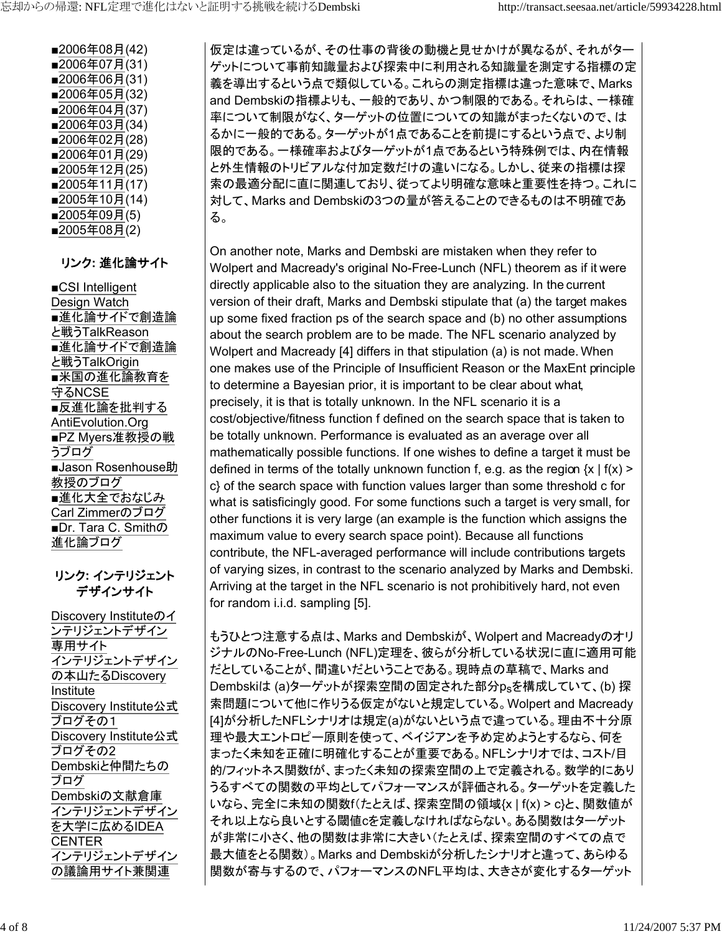■2006年08月(42) ■2006年07月(31) ■2006年06月(31) ■2006年05月(32) ■2006年04月(37) ■2006年03月(34) ■2006年02月(28) ■2006年01月(29) ■2005年12月(25) ■2005年11月(17) ■2005年10月(14) ■2005年09月(5) ■2005年08月(2)

リンク**:** 進化論サイト

■CSI Intelligent Design Watch ■進化論サイドで創造論 と戦うTalkReason ■進化論サイドで創造論 と戦うTalkOrigin ■米国の進化論教育を 守るNCSE ■反進化論を批判する AntiEvolution.Org ■PZ Myers准教授の戦 うブログ ■Jason Rosenhouse助 教授のブログ ■進化大全でおなじみ Carl Zimmerのブログ ■Dr. Tara C. Smithの 進化論ブログ

## リンク**:** インテリジェント デザインサイト

Discovery Instituteのイ ンテリジェントデザイン 専用サイト インテリジェントデザイン の本山たるDiscovery Institute Discovery Institute公式 ブログその1 Discovery Institute公式 ブログその2 Dembskiと仲間たちの ブログ Dembskiの文献倉庫 インテリジェントデザイン を大学に広めるIDEA CENTER インテリジェントデザイン の議論用サイト兼関連

仮定は違っているが、その仕事の背後の動機と見せかけが異なるが、それがター ゲットについて事前知識量および探索中に利用される知識量を測定する指標の定 義を導出するという点で類似している。これらの測定指標は違った意味で、Marks and Dembskiの指標よりも、一般的であり、かつ制限的である。それらは、一様確 率について制限がなく、ターゲットの位置についての知識がまったくないので、は るかに一般的である。ターゲットが1点であることを前提にするという点で、より制 限的である。一様確率およびターゲットが1点であるという特殊例では、内在情報 と外生情報のトリビアルな付加定数だけの違いになる。しかし、従来の指標は探 索の最適分配に直に関連しており、従ってより明確な意味と重要性を持つ。これに 対して、Marks and Dembskiの3つの量が答えることのできるものは不明確であ る。

On another note, Marks and Dembski are mistaken when they refer to Wolpert and Macready's original No-Free-Lunch (NFL) theorem as if it were directly applicable also to the situation they are analyzing. In the current version of their draft, Marks and Dembski stipulate that (a) the target makes up some fixed fraction ps of the search space and (b) no other assumptions about the search problem are to be made. The NFL scenario analyzed by Wolpert and Macready [4] differs in that stipulation (a) is not made. When one makes use of the Principle of Insufficient Reason or the MaxEnt principle to determine a Bayesian prior, it is important to be clear about what, precisely, it is that is totally unknown. In the NFL scenario it is a cost/objective/fitness function f defined on the search space that is taken to be totally unknown. Performance is evaluated as an average over all mathematically possible functions. If one wishes to define a target it must be defined in terms of the totally unknown function f, e.g. as the region  $\{x \mid f(x)$  > c} of the search space with function values larger than some threshold c for what is satisficingly good. For some functions such a target is very small, for other functions it is very large (an example is the function which assigns the maximum value to every search space point). Because all functions contribute, the NFL-averaged performance will include contributions targets of varying sizes, in contrast to the scenario analyzed by Marks and Dembski. Arriving at the target in the NFL scenario is not prohibitively hard, not even for random i.i.d. sampling [5].

もうひとつ注意する点は、Marks and Dembskiが、Wolpert and Macreadyのオリ ジナルのNo-Free-Lunch (NFL)定理を、彼らが分析している状況に直に適用可能 だとしていることが、間違いだということである。現時点の草稿で、Marks and Dembskiは (a)ターゲットが探索空間の固定された部分psを構成していて、(b) 探 索問題について他に作りうる仮定がないと規定している。Wolpert and Macready [4]が分析したNFLシナリオは規定(a)がないという点で違っている。理由不十分原 理や最大エントロピー原則を使って、ベイジアンを予め定めようとするなら、何を まったく未知を正確に明確化することが重要である。NFLシナリオでは、コスト/目 的/フィットネス関数fが、まったく未知の探索空間の上で定義される。数学的にあり うるすべての関数の平均としてパフォーマンスが評価される。ターゲットを定義した いなら、完全に未知の関数f(たとえば、探索空間の領域{x | f(x) > c}と、関数値が それ以上なら良いとする閾値cを定義しなければならない。ある関数はターゲット が非常に小さく、他の関数は非常に大きい(たとえば、探索空間のすべての点で 最大値をとる関数)。Marks and Dembskiが分析したシナリオと違って、あらゆる 関数が寄与するので、パフォーマンスのNFL平均は、大きさが変化するターゲット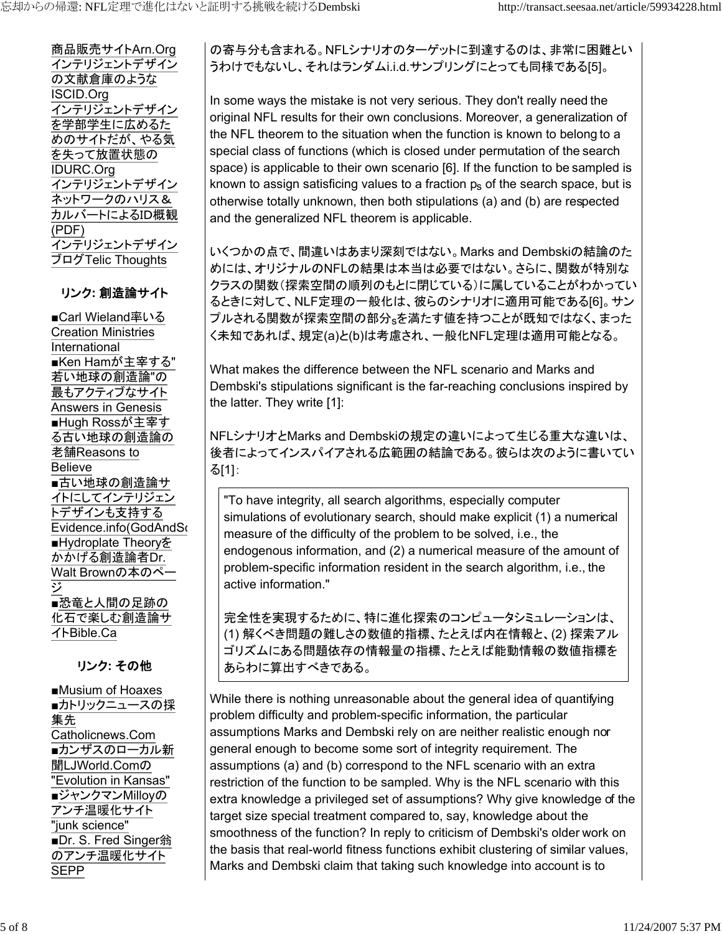商品販売サイトArn.Org インテリジェントデザイン の文献倉庫のような ISCID.Org インテリジェントデザイン を学部学生に広めるた めのサイトだが、やる気 を失って放置状態の IDURC.Org インテリジェントデザイン ネットワークのハリス& カルバートによるID概観 (PDF) インテリジェントデザイン ブログTelic Thoughts

## リンク**:** 創造論サイト

■Carl Wieland率いる Creation Ministries International ■Ken Hamが主宰する" 若い地球の創造論"の 最もアクティブなサイト Answers in Genesis ■Hugh Rossが主宰す る古い地球の創造論の 老舗Reasons to Believe ■古い地球の創造論サ イトにしてインテリジェン トデザインも支持する Evidence.info(GodAndSo ■Hydroplate Theoryを かかげる創造論者Dr. Walt Brownの本のペー ジ ■恐竜と人間の足跡の 化石で楽しむ創造論サ イトBible.Ca

# リンク**:** その他

■Musium of Hoaxes ■カトリックニュースの採 集先 Catholicnews.Com ■カンザスのローカル新 聞LJWorld.Comの "Evolution in Kansas" ■ジャンクマンMilloyの アンチ温暖化サイト "junk science" ■Dr. S. Fred Singer翁 のアンチ温暖化サイト SEPP

の寄与分も含まれる。NFLシナリオのターゲットに到達するのは、非常に困難とい うわけでもないし、それはランダムi.i.d.サンプリングにとっても同様である[5]。

In some ways the mistake is not very serious. They don't really need the original NFL results for their own conclusions. Moreover, a generalization of the NFL theorem to the situation when the function is known to belong to a special class of functions (which is closed under permutation of the search space) is applicable to their own scenario [6]. If the function to be sampled is known to assign satisficing values to a fraction  $p<sub>s</sub>$  of the search space, but is otherwise totally unknown, then both stipulations (a) and (b) are respected and the generalized NFL theorem is applicable.

いくつかの点で、間違いはあまり深刻ではない。Marks and Dembskiの結論のた めには、オリジナルのNFLの結果は本当は必要ではない。さらに、関数が特別な クラスの関数(探索空間の順列のもとに閉じている)に属していることがわかってい るときに対して、NLF定理の一般化は、彼らのシナリオに適用可能である[6]。サン プルされる関数が探索空間の部分sを満たす値を持つことが既知ではなく、まった く未知であれば、規定(a)と(b)は考慮され、一般化NFL定理は適用可能となる。

What makes the difference between the NFL scenario and Marks and Dembski's stipulations significant is the far-reaching conclusions inspired by the latter. They write [1]:

NFLシナリオとMarks and Dembskiの規定の違いによって生じる重大な違いは、 後者によってインスパイアされる広範囲の結論である。彼らは次のように書いてい る[1]:

"To have integrity, all search algorithms, especially computer simulations of evolutionary search, should make explicit (1) a numerical measure of the difficulty of the problem to be solved, i.e., the endogenous information, and (2) a numerical measure of the amount of problem-specific information resident in the search algorithm, i.e., the active information."

完全性を実現するために、特に進化探索のコンピュータシミュレーションは、 (1) 解くべき問題の難しさの数値的指標、たとえば内在情報と、(2) 探索アル ゴリズムにある問題依存の情報量の指標、たとえば能動情報の数値指標を あらわに算出すべきである。

While there is nothing unreasonable about the general idea of quantifying problem difficulty and problem-specific information, the particular assumptions Marks and Dembski rely on are neither realistic enough nor general enough to become some sort of integrity requirement. The assumptions (a) and (b) correspond to the NFL scenario with an extra restriction of the function to be sampled. Why is the NFL scenario with this extra knowledge a privileged set of assumptions? Why give knowledge of the target size special treatment compared to, say, knowledge about the smoothness of the function? In reply to criticism of Dembski's older work on the basis that real-world fitness functions exhibit clustering of similar values, Marks and Dembski claim that taking such knowledge into account is to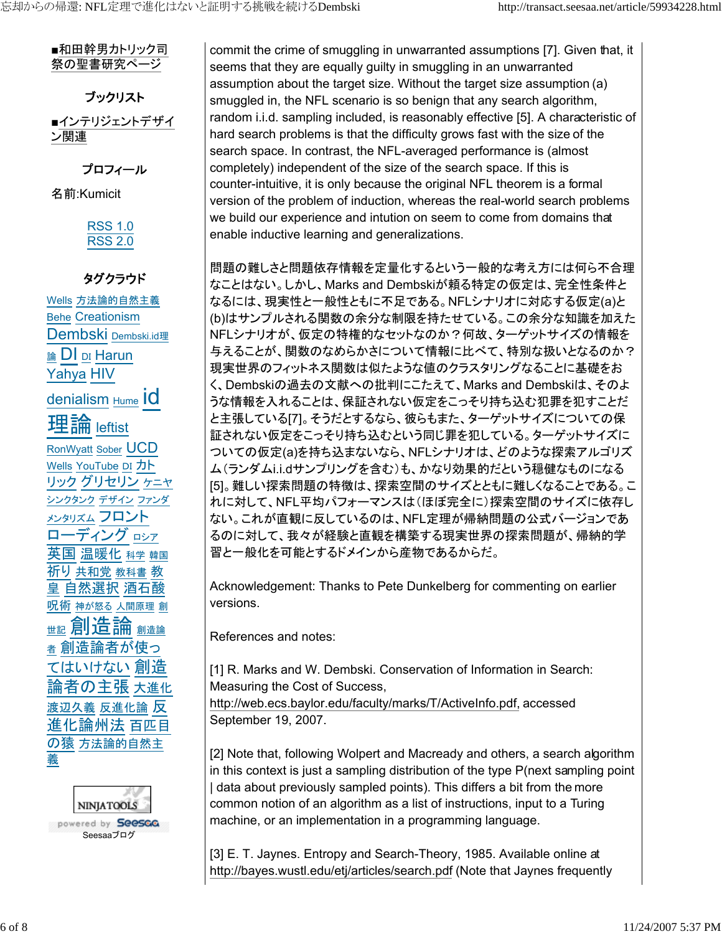■和田幹男カトリック司 祭の聖書研究ページ

ブックリスト ■インテリジェントデザイ ン関連

プロフィール 名前:Kumicit

# RSS 1.0 RSS 2.0

# タグクラウド

Wells 方法論的自然主義 Behe Creationism Dembski <sub>Dembski.id理</sub> <sub>論</sub> DI <sub>DI</sub> Harun Yahya HIV denialism Hume IO 理論 leftist RonWyatt Sober UCD Wells YouTube DI カト リック グリセリン ケニヤ シンクタンク デザイン ファンダ <u>メンタリズム</u> フロント ローディング ロシア 英国 温暖化 科学 韓国 祈り 共和党 教科書 教 皇 自然選択 酒石酸 呪術 神が怒る 人間原理 創 <sub>ᄈ記</sub>創造論 <sup>者</sup> 創造論者が使っ てはいけない 創造 論者の主張 大進化 渡辺久義 反進化論 反 進化論州法 百匹目 の猿 方法論的自然主 義



commit the crime of smuggling in unwarranted assumptions [7]. Given that, it seems that they are equally guilty in smuggling in an unwarranted assumption about the target size. Without the target size assumption (a) smuggled in, the NFL scenario is so benign that any search algorithm, random i.i.d. sampling included, is reasonably effective [5]. A characteristic of hard search problems is that the difficulty grows fast with the size of the search space. In contrast, the NFL-averaged performance is (almost completely) independent of the size of the search space. If this is counter-intuitive, it is only because the original NFL theorem is a formal version of the problem of induction, whereas the real-world search problems we build our experience and intution on seem to come from domains that enable inductive learning and generalizations.

問題の難しさと問題依存情報を定量化するという一般的な考え方には何ら不合理 なことはない。しかし、Marks and Dembskiが頼る特定の仮定は、完全性条件と なるには、現実性と一般性ともに不足である。NFLシナリオに対応する仮定(a)と (b)はサンプルされる関数の余分な制限を持たせている。この余分な知識を加えた NFLシナリオが、仮定の特権的なセットなのか?何故、ターゲットサイズの情報を 与えることが、関数のなめらかさについて情報に比べて、特別な扱いとなるのか? 現実世界のフィットネス関数は似たような値のクラスタリングなることに基礎をお く、Dembskiの過去の文献への批判にこたえて、Marks and Dembskiは、そのよ うな情報を入れることは、保証されない仮定をこっそり持ち込む犯罪を犯すことだ と主張している[7]。そうだとするなら、彼らもまた、ターゲットサイズについての保 証されない仮定をこっそり持ち込むという同じ罪を犯している。ターゲットサイズに ついての仮定(a)を持ち込まないなら、NFLシナリオは、どのような探索アルゴリズ ム(ランダムi.i.dサンプリングを含む)も、かなり効果的だという穏健なものになる [5]。難しい探索問題の特徴は、探索空間のサイズとともに難しくなることである。こ れに対して、NFL平均パフォーマンスは(ほぼ完全に)探索空間のサイズに依存し ない。これが直観に反しているのは、NFL定理が帰納問題の公式バージョンであ るのに対して、我々が経験と直観を構築する現実世界の探索問題が、帰納的学 習と一般化を可能とするドメインから産物であるからだ。

Acknowledgement: Thanks to Pete Dunkelberg for commenting on earlier versions.

References and notes:

[1] R. Marks and W. Dembski. Conservation of Information in Search: Measuring the Cost of Success,

http://web.ecs.baylor.edu/faculty/marks/T/ActiveInfo.pdf, accessed September 19, 2007.

[2] Note that, following Wolpert and Macready and others, a search algorithm in this context is just a sampling distribution of the type P(next sampling point | data about previously sampled points). This differs a bit from the more common notion of an algorithm as a list of instructions, input to a Turing machine, or an implementation in a programming language.

[3] E. T. Jaynes. Entropy and Search-Theory, 1985. Available online at http://bayes.wustl.edu/etj/articles/search.pdf (Note that Jaynes frequently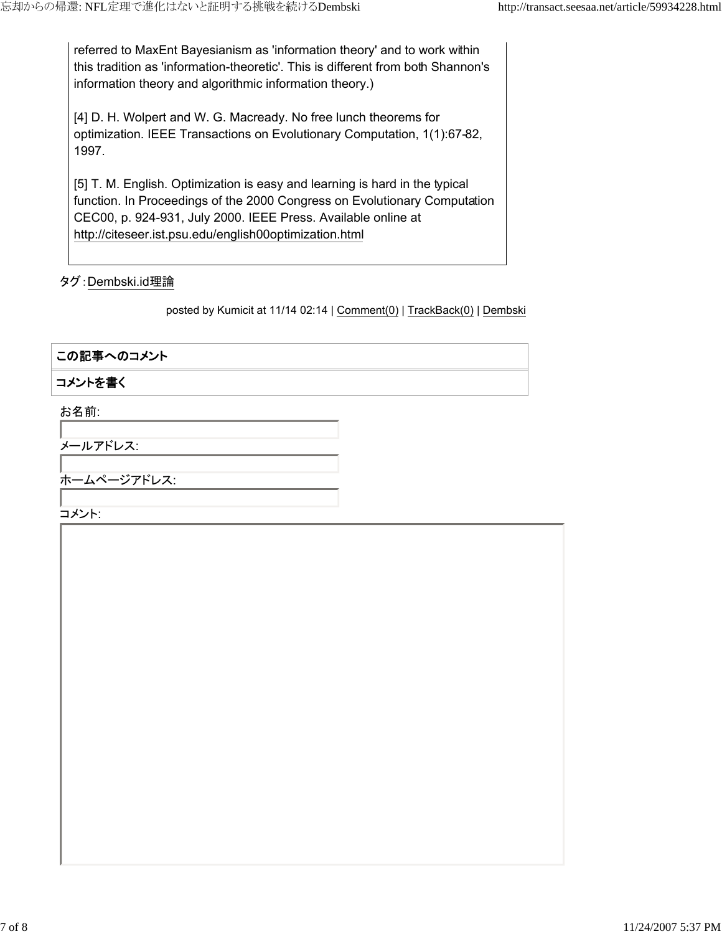referred to MaxEnt Bayesianism as 'information theory' and to work within this tradition as 'information-theoretic'. This is different from both Shannon's information theory and algorithmic information theory.)

[4] D. H. Wolpert and W. G. Macready. No free lunch theorems for optimization. IEEE Transactions on Evolutionary Computation, 1(1):67-82, 1997.

[5] T. M. English. Optimization is easy and learning is hard in the typical function. In Proceedings of the 2000 Congress on Evolutionary Computation CEC00, p. 924-931, July 2000. IEEE Press. Available online at http://citeseer.ist.psu.edu/english00optimization.html

#### タグ:Dembski.id理論

posted by Kumicit at 11/14 02:14 | Comment(0) | TrackBack(0) | Dembski

#### この記事へのコメント

#### コメントを書く

お名前:

メールアドレス:

ホームページアドレス:

コメント: